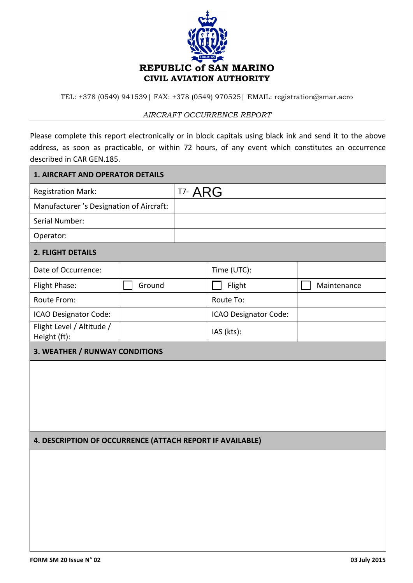

TEL: +378 (0549) 941539| FAX: +378 (0549) 970525| EMAIL: registration@smar.aero

## *AIRCRAFT OCCURRENCE REPORT*

Please complete this report electronically or in block capitals using black ink and send it to the above address, as soon as practicable, or within 72 hours, of any event which constitutes an occurrence described in CAR GEN.185.

| <b>1. AIRCRAFT AND OPERATOR DETAILS</b>                   |        |         |                       |             |  |  |  |  |
|-----------------------------------------------------------|--------|---------|-----------------------|-------------|--|--|--|--|
| <b>Registration Mark:</b>                                 |        | T7- ARG |                       |             |  |  |  |  |
| Manufacturer 's Designation of Aircraft:                  |        |         |                       |             |  |  |  |  |
| Serial Number:                                            |        |         |                       |             |  |  |  |  |
| Operator:                                                 |        |         |                       |             |  |  |  |  |
| 2. FLIGHT DETAILS                                         |        |         |                       |             |  |  |  |  |
| Date of Occurrence:                                       |        |         | Time (UTC):           |             |  |  |  |  |
| Flight Phase:                                             | Ground |         | Flight                | Maintenance |  |  |  |  |
| Route From:                                               |        |         | Route To:             |             |  |  |  |  |
| ICAO Designator Code:                                     |        |         | ICAO Designator Code: |             |  |  |  |  |
| Flight Level / Altitude /<br>Height (ft):                 |        |         | IAS (kts):            |             |  |  |  |  |
| 3. WEATHER / RUNWAY CONDITIONS                            |        |         |                       |             |  |  |  |  |
|                                                           |        |         |                       |             |  |  |  |  |
| 4. DESCRIPTION OF OCCURRENCE (ATTACH REPORT IF AVAILABLE) |        |         |                       |             |  |  |  |  |
|                                                           |        |         |                       |             |  |  |  |  |